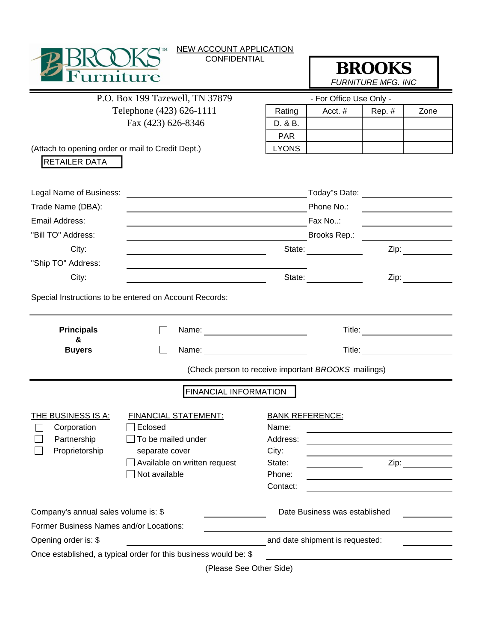|                                                                             | <b>NEW ACCOUNT APPLICATION</b>                                                         |            |                                                                                                                                                                                                                                |                                       |                             |  |
|-----------------------------------------------------------------------------|----------------------------------------------------------------------------------------|------------|--------------------------------------------------------------------------------------------------------------------------------------------------------------------------------------------------------------------------------|---------------------------------------|-----------------------------|--|
| <b>CONFIDENTIAL</b><br>rnifiire                                             |                                                                                        |            | <b>BROOKS</b><br><b>FURNITURE MFG. INC</b>                                                                                                                                                                                     |                                       |                             |  |
|                                                                             | P.O. Box 199 Tazewell, TN 37879                                                        |            | - For Office Use Only -                                                                                                                                                                                                        |                                       |                             |  |
| Telephone (423) 626-1111                                                    |                                                                                        | Rating     | Acct. #                                                                                                                                                                                                                        | Rep. #                                | Zone                        |  |
|                                                                             | Fax (423) 626-8346                                                                     | D. & B.    |                                                                                                                                                                                                                                |                                       |                             |  |
|                                                                             |                                                                                        | <b>PAR</b> |                                                                                                                                                                                                                                |                                       |                             |  |
| (Attach to opening order or mail to Credit Dept.)                           | <b>LYONS</b>                                                                           |            |                                                                                                                                                                                                                                |                                       |                             |  |
| <b>RETAILER DATA</b>                                                        |                                                                                        |            |                                                                                                                                                                                                                                |                                       |                             |  |
| Legal Name of Business:                                                     |                                                                                        |            | Today"s Date: <u>_________________</u>                                                                                                                                                                                         |                                       |                             |  |
| Trade Name (DBA):                                                           |                                                                                        | Phone No.: |                                                                                                                                                                                                                                |                                       |                             |  |
| Email Address:                                                              | <u> 1989 - Jan Samuel Barbara, martin da shekara tsara 1989 - André a Santa Albani</u> |            | Fax No:                                                                                                                                                                                                                        |                                       |                             |  |
| "Bill TO" Address:                                                          |                                                                                        |            | Brooks Rep.: The contract of the contract of the contract of the contract of the contract of the contract of the contract of the contract of the contract of the contract of the contract of the contract of the contract of t |                                       |                             |  |
| City:                                                                       |                                                                                        |            | State:                                                                                                                                                                                                                         |                                       | Zip: $\qquad \qquad \qquad$ |  |
| "Ship TO" Address:                                                          |                                                                                        |            |                                                                                                                                                                                                                                |                                       |                             |  |
| City:                                                                       |                                                                                        |            | State:                                                                                                                                                                                                                         | Zip:                                  |                             |  |
|                                                                             | Special Instructions to be entered on Account Records:                                 |            |                                                                                                                                                                                                                                |                                       |                             |  |
| <b>Principals</b>                                                           |                                                                                        |            |                                                                                                                                                                                                                                | Title: <u>_______________________</u> |                             |  |
| &<br><b>Buyers</b>                                                          |                                                                                        |            |                                                                                                                                                                                                                                |                                       |                             |  |
|                                                                             | (Check person to receive important BROOKS mailings)                                    |            |                                                                                                                                                                                                                                |                                       |                             |  |
|                                                                             | <b>FINANCIAL INFORMATION</b>                                                           |            |                                                                                                                                                                                                                                |                                       |                             |  |
| THE BUSINESS IS A:<br><b>FINANCIAL STATEMENT:</b><br><b>BANK REFERENCE:</b> |                                                                                        |            |                                                                                                                                                                                                                                |                                       |                             |  |
| Corporation                                                                 | Eclosed                                                                                | Name:      |                                                                                                                                                                                                                                |                                       |                             |  |
| Partnership                                                                 | To be mailed under                                                                     | Address:   |                                                                                                                                                                                                                                |                                       |                             |  |
| Proprietorship                                                              | separate cover                                                                         | City:      |                                                                                                                                                                                                                                |                                       |                             |  |
|                                                                             | Available on written request                                                           | State:     | Zip:                                                                                                                                                                                                                           |                                       |                             |  |
|                                                                             | Not available                                                                          | Phone:     |                                                                                                                                                                                                                                |                                       |                             |  |
|                                                                             |                                                                                        | Contact:   |                                                                                                                                                                                                                                |                                       |                             |  |
| Company's annual sales volume is: \$                                        |                                                                                        |            | Date Business was established                                                                                                                                                                                                  |                                       |                             |  |
| Former Business Names and/or Locations:                                     |                                                                                        |            |                                                                                                                                                                                                                                |                                       |                             |  |
| Opening order is: \$                                                        | and date shipment is requested:                                                        |            |                                                                                                                                                                                                                                |                                       |                             |  |
|                                                                             | Once established, a typical order for this business would be: \$                       |            | <u> Territoria de la contenentación de la contenentación de la contenentación de la contenentación de la contene</u>                                                                                                           |                                       |                             |  |
|                                                                             | (Dlogge San Other Side)                                                                |            |                                                                                                                                                                                                                                |                                       |                             |  |

(Please See Other Side)